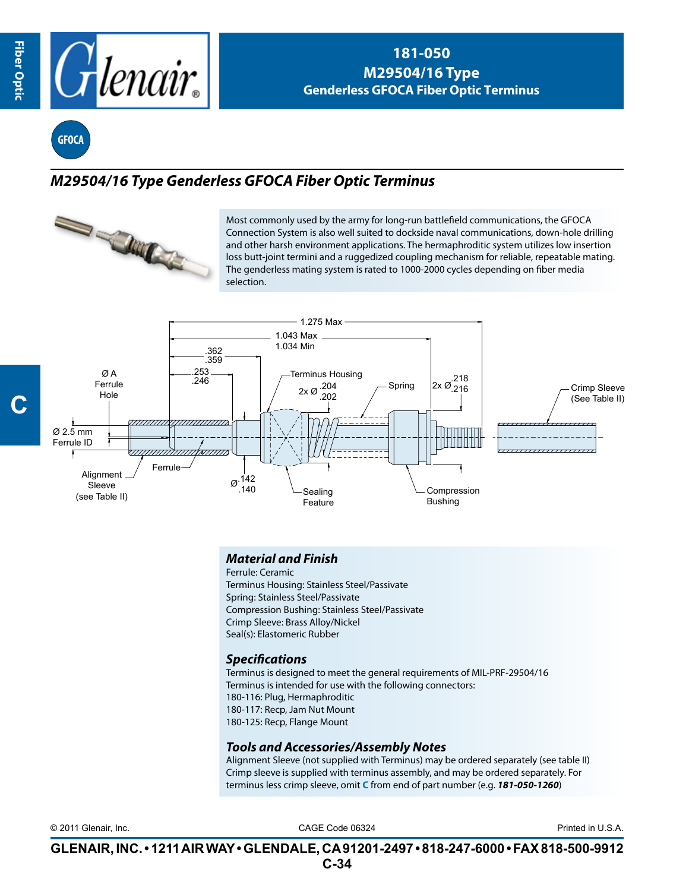

## **181-050 M29504/16 Type Genderless GFOCA Fiber Optic Terminus**

**GFOCA**

# *M29504/16 Type Genderless GFOCA Fiber Optic Terminus*



Most commonly used by the army for long-run battlefield communications, the GFOCA Connection System is also well suited to dockside naval communications, down-hole drilling and other harsh environment applications. The hermaphroditic system utilizes low insertion loss butt-joint termini and a ruggedized coupling mechanism for reliable, repeatable mating. The genderless mating system is rated to 1000-2000 cycles depending on fiber media selection.



## *Material and Finish*

Ferrule: Ceramic Terminus Housing: Stainless Steel/Passivate Spring: Stainless Steel/Passivate Compression Bushing: Stainless Steel/Passivate Crimp Sleeve: Brass Alloy/Nickel Seal(s): Elastomeric Rubber

### *Specifications*

Terminus is designed to meet the general requirements of MIL-PRF-29504/16 Terminus is intended for use with the following connectors: 180-116: Plug, Hermaphroditic 180-117: Recp, Jam Nut Mount 180-125: Recp, Flange Mount

### *Tools and Accessories/Assembly Notes*

Alignment Sleeve (not supplied with Terminus) may be ordered separately (see table II) Crimp sleeve is supplied with terminus assembly, and may be ordered separately. For terminus less crimp sleeve, omit **C** from end of part number (e.g. *181-050-1260*)

CAGE Code 06324 © 2011 Glenair, Inc. Printed in U.S.A.